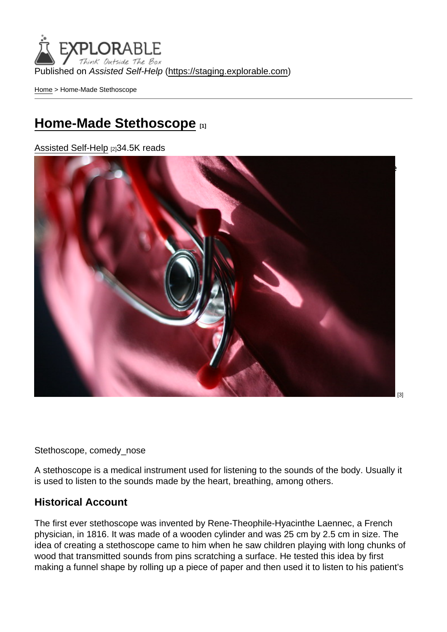Published on Assisted Self-Help [\(https://staging.explorable.com](https://staging.explorable.com))

[Home](https://staging.explorable.com/en) > Home-Made Stethoscope

### [Home-Made Stethoscope](https://staging.explorable.com/en/home-made-stethoscope) [1]

[Assisted Self-Help](https://staging.explorable.com/en) [2]34.5K reads

[Do you know what a stethoscope is? I'm sure you have been to the doctors when you were](http://www.flickr.com/photos/comedynose/5755803052/) once sick or even just for a check up. That instrument doctors wear on their ears, like earphones, with another extension placed on the patient's body, is the stethoscope.

[3]

Stethoscope, comedy\_nose

A stethoscope is a medical instrument used for listening to the sounds of the body. Usually it is used to listen to the sounds made by the heart, breathing, among others.

### Historical Account

The first ever stethoscope was invented by Rene-Theophile-Hyacinthe Laennec, a French physician, in 1816. It was made of a wooden cylinder and was 25 cm by 2.5 cm in size. The idea of creating a stethoscope came to him when he saw children playing with long chunks of wood that transmitted sounds from pins scratching a surface. He tested this idea by first making a funnel shape by rolling up a piece of paper and then used it to listen to his patient's